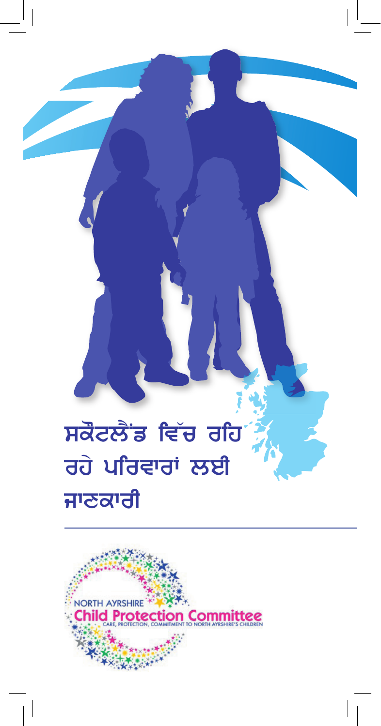# ਸਕੋਟਲੈਂਡ ਵਿੱਚ ਰਹਿ ਰਹੇ ਪਰਿਵਾਰਾਂ ਲਈ ਜਾਣਕਾਰੀ

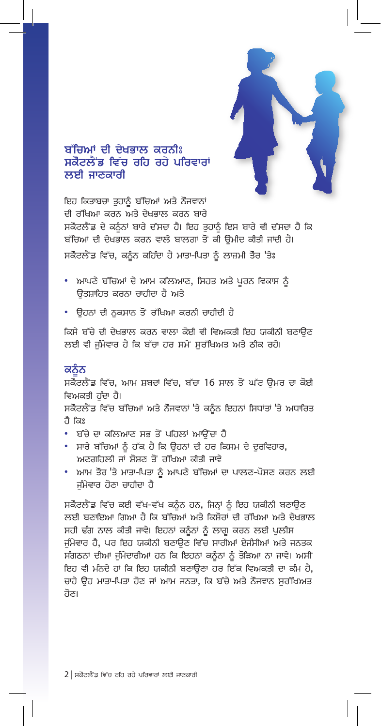

## ਬੱਚਿਆਂ ਦੀ ਦੇਖਭਾਲ ਕਰਨੀਃ ਸਕੋਟਲੈਂਡ ਵਿੱਚ ਰਹਿ ਰਹੇ ਪਰਿਵਾਰਾਂ ਲਈ ਜਾਣਕਾਰੀ

ਇਹ ਕਿਤਾਬਚਾ ਤਹਾਨੰ ਬੱਚਿਆਂ ਅਤੇ ਨੌਜਵਾਨਾਂ ਦੀ ਰੱਖਿਆ ਕਰਨ ਅਤੇ ਦੇਖਭਾਲ ਕਰਨ ਬਾਰੇ ਸਕੋਟਲੈਂਡ ਦੇ ਕਨੰਨਾਂ ਬਾਰੇ ਦੱਸਦਾ ਹੈ। ਇਹ ਤੁਹਾਨੂੰ ਇਸ ਬਾਰੇ ਵੀ ਦੱਸਦਾ ਹੈ ਕਿ ਬੱਚਿਆਂ ਦੀ ਦੇਖਭਾਲ ਕਰਨ ਵਾਲੇ ਬਾਲਗਾਂ ਤੋਂ ਕੀ ਉਮੀਦ ਕੀਤੀ ਜਾਂਦੀ ਹੈ। ਸਕੋਟਲੈਂਡ ਵਿੱਚ, ਕਨੰਨ ਕਹਿੰਦਾ ਹੈ ਮਾਤਾ-ਪਿਤਾ ਨੂੰ ਲਾਜ਼ਮੀ ਤੋਰ 'ਤੇਃ

- ਆਪਣੇ ਬੱਚਿਆਂ ਦੇ ਆਮ ਕਲਿਆਣ, ਸਿਹਤ ਅਤੇ ਪੂਰਨ ਵਿਕਾਸ ਨੂੰ ਉਤਸ਼ਾਹਿਤ ਕਰਨਾ ਚਾਹੀਦਾ ਹੈ ਅਤੇ
- ਉਹਨਾਂ ਦੀ ਨਕਸਾਨ ਤੋਂ ਰੱਖਿਆ ਕਰਨੀ ਚਾਹੀਦੀ ਹੈ

ਕਿਸੇ ਬੱਚੇ ਦੀ ਦੇਖਭਾਲ ਕਰਨ ਵਾਲਾ ਕੋਈ ਵੀ ਵਿਅਕਤੀ ਇਹ ਯਕੀਨੀ ਬਣਾਉਣ ਲਈ ਵੀ ਜੰਮੇਵਾਰ ਹੈ ਕਿ ਬੱਚਾ ਹਰ ਸਮੇਂ ਸਰੱਖਿਅਤ ਅਤੇ ਠੀਕ ਰਹੇ।

#### ਕਨੌਨ

ਸਕੋਟਲੈਂਡ ਵਿੱਚ, ਆਮ ਸ਼ਬਦਾਂ ਵਿੱਚ, ਬੱਚਾ 16 ਸਾਲ ਤੋਂ ਘੱਟ ਉਮਰ ਦਾ ਕੋਈ ਵਿਅਕਤੀ ਹੰਦਾ ਹੈ।

ਸਕੋਟਲੈਂਡ ਵਿੱਚ ਬੱਚਿਆਂ ਅਤੇ ਨੌਜਵਾਨਾਂ 'ਤੇ ਕਨੰਨ ਇਹਨਾਂ ਸਿਧਾਂਤਾਂ 'ਤੇ ਅਧਾਰਿਤ ਹੈ ਕਿਃ

- ਬੱਚੇ ਦਾ ਕਲਿਆਣ ਸਭ ਤੋਂ ਪਹਿਲਾਂ ਆਉਂਦਾ ਹੈ
- ਸਾਰੇ ਬੱਚਿਆਂ ਨੂੰ ਹੱਕ ਹੈ ਕਿ ਉਹਨਾਂ ਦੀ ਹਰ ਕਿਸਮ ਦੇ ਦਰਵਿਹਾਰ, ਅਣਗਹਿਲੀ ਜਾਂ ਸ਼ੋਸ਼ਣ ਤੋਂ ਰੱਖਿਆ ਕੀਤੀ ਜਾਵੇ
- ਆਮ ਤੌਰ 'ਤੇ ਮਾਤਾ-ਪਿਤਾ ਨੂੰ ਆਪਣੇ ਬੱਚਿਆਂ ਦਾ ਪਾਲਣ-ਪੋਸ਼ਣ ਕਰਨ ਲਈ ਜੰਮੇਵਾਰ ਹੋਣਾ ਚਾਹੀਦਾ ਹੈ

ਸਕੋਟਲੈਂਡ ਵਿੱਚ ਕਈ ਵੱਖ-ਵੱਖ ਕਨੰਨ ਹਨ, ਜਿਨ੍ਹਾਂ ਨੂੰ ਇਹ ਯਕੀਨੀ ਬਣਾਉਣ ਲਈ ਬਣਾਇਆ ਗਿਆ ਹੈ ਕਿ ਬੱਚਿਆਂ ਅਤੇ ਕਿਸ਼ੋਰਾਂ ਦੀ ਰੱਖਿਆ ਅਤੇ ਦੇਖਭਾਲ ਸਹੀ ਢੰਗ ਨਾਲ ਕੀਤੀ ਜਾਵੇ। ਇਹਨਾਂ ਕਨੂੰਨਾਂ ਨੂੰ ਲਾਗੂ ਕਰਨ ਲਈ ਪੁਲੀਸ ਜੰਮੇਵਾਰ ਹੈ, ਪਰ ਇਹ ਯਕੀਨੀ ਬਣਾਉਣ ਵਿੱਚ ਸਾਰੀਆਂ ਏਜੰਸੀਆਂ ਅਤੇ ਜਨਤਕ ਸੰਗਠਨਾਂ ਦੀਆਂ ਜੰਮੇਦਾਰੀਆਂ ਹਨ ਕਿ ਇਹਨਾਂ ਕਨੰਨਾਂ ਨੂੰ ਤੋੜਿਆ ਨਾ ਜਾਵੇ। ਅਸੀਂ ਇਹ ਵੀ ਮੰਨਦੇ ਹਾਂ ਕਿ ਇਹ ਯਕੀਨੀ ਬਣਾਉਣਾ ਹਰ ਇੱਕ ਵਿਅਕਤੀ ਦਾ ਕੰਮ ਹੈ, ਚਾਹੇ ਉਹ ਮਾਤਾ-ਪਿਤਾ ਹੋਣ ਜਾਂ ਆਮ ਜਨਤਾ, ਕਿ ਬੱਚੇ ਅਤੇ ਨੌਜਵਾਨ ਸਰੱਖਿਅਤ ਹੋਣ।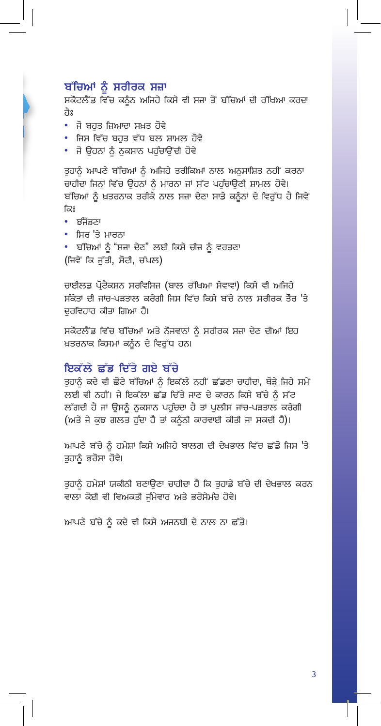#### ਬੱਚਿਆਂ ਨੂੰ ਸਰੀਰਕ ਸਜ਼ਾ

ਸਕੋਟਲੈਂਡ ਵਿੱਚ ਕਨੂੰਨ ਅਜਿਹੇ ਕਿਸੇ ਵੀ ਸਜ਼ਾ ਤੋਂ ਬੱਚਿਆਂ ਦੀ ਰੱਖਿਆ ਕਰਦਾ ਹੈਃ

- ਜੋ ਬਹਤ ਜ਼ਿਆਦਾ ਸਖ਼ਤ ਹੋਵੇ
- ਜਿਸ ਵਿੱਚ ਬਹਤ ਵੱਧ ਬਲ ਸ਼ਾਮਲ ਹੋਵੇ
- ਜੋ ਉਹਨਾਂ ਨੂੰ ਨੁਕਸਾਨ ਪਹੁੰਚਾਉਂਦੀ ਹੋਵੇ

ਤਹਾਨੰ ਆਪਣੇ ਬੱਚਿਆਂ ਨੂੰ ਅਜਿਹੇ ਤਰੀਕਿਆਂ ਨਾਲ ਅਨੁਸਾਸ਼ਿਤ ਨਹੀਂ ਕਰਨਾ ਚਾਹੀਦਾ ਜਿਨ੍ਹਾਂ ਵਿੱਚ ਉਹਨਾਂ ਨੂੰ ਮਾਰਨਾ ਜਾਂ ਸੱਟ ਪਹੁੰਚਾਉਣੀ ਸ਼ਾਮਲ ਹੋਵੇ। ਬੱਚਿਆਂ ਨੂੰ ਖ਼ਤਰਨਾਕ ਤਰੀਕੇ ਨਾਲ ਸਜ਼ਾ ਦੇਣਾ ਸਾਡੇ ਕਨੂੰਨਾਂ ਦੇ ਵਿਰੁੱਧ ਹੈ ਜਿਵੇਂ ਕਿਃ

- ਝੰਜੋੜਣਾ
- ਸਿਰ 'ਤੇ ਮਾਰਨਾ
- ਬੱਚਿਆਂ ਨੂੰ "ਸਜ਼ਾ ਦੇਣ" ਲਈ ਕਿਸੇ ਚੀਜ਼ ਨੂੰ ਵਰਤਣਾ (ਜਿਵੇਂ ਕਿ ਜੁੱਤੀ, ਸੋਟੀ, ਚੱਪਲ)

ਚਾਈਲਡ ਪ੍ਰੋਟੈਕਸ਼ਨ ਸਰਵਿਸਿਜ਼ (ਬਾਲ ਰੱਖਿਆ ਸੇਵਾਵਾਂ) ਕਿਸੇ ਵੀ ਅਜਿਹੇ ਸੰਕੇਤਾਂ ਦੀ ਜਾਂਚ-ਪੜਤਾਲ ਕਰੇਗੀ ਜਿਸ ਵਿੱਚ ਕਿਸੇ ਬੱਚੇ ਨਾਲ ਸਰੀਰਕ ਤੌਰ 'ਤੇ ਦਰਵਿਹਾਰ ਕੀਤਾ ਗਿਆ ਹੈ।

ਸਕੋਟਲੈਂਡ ਵਿੱਚ ਬੱਚਿਆਂ ਅਤੇ ਨੌਜਵਾਨਾਂ ਨੂੰ ਸਰੀਰਕ ਸਜ਼ਾ ਦੇਣ ਦੀਆਂ ਇਹ ਖ਼ਤਰਨਾਕ ਕਿਸਮਾਂ ਕਨੂੰਨ ਦੇ ਵਿਰੁੱਧ ਹਨ।

#### ਇਕੱਲੇ ਛੱਡ ਦਿੱਤੇ ਗਏ ਬੱਚੇ

ਤੁਹਾਨੂੰ ਕਦੇ ਵੀ ਛੋਟੇ ਬੱਚਿਆਂ ਨੂੰ ਇਕੱਲੇ ਨਹੀਂ ਛੱਡਣਾ ਚਾਹੀਦਾ, ਥੋੜ੍ਹੇ ਜਿਹੇ ਸਮੇਂ ਲਈ ਵੀ ਨਹੀਂ। ਜੇ ਇਕੱਲਾ ਛੱਡ ਦਿੱਤੇ ਜਾਣ ਦੇ ਕਾਰਨ ਕਿਸੇ ਬੱਚੇ ਨੂੰ ਸੱਟ ਲੱਗਦੀ ਹੈ ਜਾਂ ਉਸਨੂੰ ਨੁਕਸਾਨ ਪਹੁੰਚਦਾ ਹੈ ਤਾਂ ਪੁਲੀਸ ਜਾਂਚ-ਪੜਤਾਲ ਕਰੇਗੀ (ਅਤੇ ਜੇ ਕੁਝ ਗਲਤ ਹੁੰਦਾ ਹੈ ਤਾਂ ਕਨੂੰਨੀ ਕਾਰਵਾਈ ਕੀਤੀ ਜਾ ਸਕਦੀ ਹੈ)।

ਆਪਣੇ ਬੱਚੇ ਨੂੰ ਹਮੇਸ਼ਾਂ ਕਿਸੇ ਅਜਿਹੇ ਬਾਲਗ ਦੀ ਦੇਖਭਾਲ ਵਿੱਚ ਛੱਡੋ ਜਿਸ 'ਤੇ ਤੁਹਾਨੂੰ ਭਰੋਸਾ ਹੋਵੇ।

ਤੁਹਾਨੂੰ ਹਮੇਸ਼ਾਂ ਯਕੀਨੀ ਬਣਾਉਣਾ ਚਾਹੀਦਾ ਹੈ ਕਿ ਤੁਹਾਡੇ ਬੱਚੇ ਦੀ ਦੇਖਭਾਲ ਕਰਨ ਵਾਲਾ ਕੋਈ ਵੀ ਵਿਅਕਤੀ ਜੁੰਮੇਵਾਰ ਅਤੇ ਭਰੋਸੇਮੰਦ ਹੋਵੇ।

ਆਪਣੇ ਬੱਚੇ ਨੂੰ ਕਦੇ ਵੀ ਕਿਸੇ ਅਜਨਬੀ ਦੇ ਨਾਲ ਨਾ ਛੱਡੋ।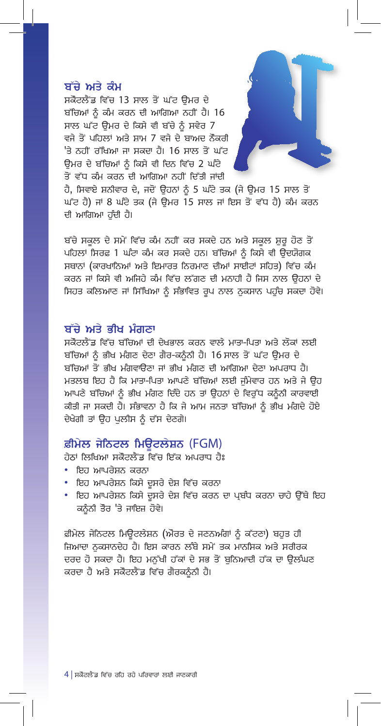#### ਬੱਚੇ ਅਤੇ ਕੰਮ

ਸਕੋਟਲੈਂਡ ਵਿੱਚ 13 ਸਾਲ ਤੋਂ ਘੱਟ ਉਮਰ ਦੇ ਬੱਚਿਆਂ ਨੂੰ ਕੰਮ ਕਰਨ ਦੀ ਆਗਿਆ ਨਹੀਂ ਹੈ। 16 ਸਾਲ ਘੱਟ ਉਮਰ ਦੇ ਕਿਸੇ ਵੀ ਬੱਚੇ ਨੂੰ ਸਵੇਰ 7 ਵਜੇ ਤੋਂ ਪਹਿਲਾਂ ਅਤੇ ਸ਼ਾਮ 7 ਵਜੇ ਦੇ ਬਾਅਦ ਨੌਕਰੀ 'ਤੇ ਨਹੀਂ ਰੱਖਿਆ ਜਾ ਸਕਦਾ ਹੈ। 16 ਸਾਲ ਤੋਂ ਘੱਟ ਉਮਰ ਦੇ ਬੱਚਿਆਂ ਨੂੰ ਕਿਸੇ ਵੀ ਦਿਨ ਵਿੱਚ 2 ਘੰਟੇ ਤੋਂ ਵੱਧ ਕੰਮ ਕਰਨ ਦੀ ਆਗਿਆ ਨਹੀਂ ਦਿੱਤੀ ਜਾਂਦੀ



ਹੈ, ਸਿਵਾਏ ਸ਼ਨੀਵਾਰ ਦੇ, ਜਦੋਂ ਉਹਨਾਂ ਨੂੰ 5 ਘੰਟੇ ਤਕ (ਜੇ ਉਮਰ 15 ਸਾਲ ਤੋਂ ਘੱਟ ਹੈ) ਜਾਂ 8 ਘੰਟੇ ਤਕ (ਜੇ ਉਮਰ 15 ਸਾਲ ਜਾਂ ਇਸ ਤੋਂ ਵੱਧ ਹੈ) ਕੰਮ ਕਰਨ ਦੀ ਆਗਿਆ ਹੁੰਦੀ ਹੈ।

ਬੱਚੇ ਸਕੂਲ ਦੇ ਸਮੇਂ ਵਿੱਚ ਕੰਮ ਨਹੀਂ ਕਰ ਸਕਦੇ ਹਨ ਅਤੇ ਸਕੂਲ ਸ਼ੁਰੂ ਹੋਣ ਤੋਂ ਪਹਿਲਾਂ ਸਿਰਫ਼ 1 ਘੰਟਾ ਕੰਮ ਕਰ ਸਕਦੇ ਹਨ। ਬੱਚਿਆਂ ਨੂੰ ਕਿਸੇ ਵੀ ਉਦਯੋਗਕ ਸਥਾਨਾਂ (ਕਾਰਖਾਨਿਆਂ ਅਤੇ ਇਮਾਰਤ ਨਿਰਮਾਣ ਦੀਆਂ ਸਾਈਟਾਂ ਸਹਿਤ) ਵਿੱਚ ਕੰਮ ਕਰਨ ਜਾਂ ਕਿਸੇ ਵੀ ਅਜਿਹੇ ਕੰਮ ਵਿੱਚ ਲੱਗਣ ਦੀ ਮਨਾਹੀ ਹੈ ਜਿਸ ਨਾਲ ਉਹਨਾਂ ਦੇ ਸਿਹਤ ਕਲਿਆਣ ਜਾਂ ਸਿੱਖਿਆ ਨੂੰ ਸੰਭਾਵਿਤ ਰੂਪ ਨਾਲ ਨੁਕਸਾਨ ਪਹੁੰਚ ਸਕਦਾ ਹੋਵੇ।

#### ਬੱਚੇ ਅਤੇ ਭੀਖ ਮੰਗਣਾ

ਸਕੋਟਲੈਂਡ ਵਿੱਚ ਬੱਚਿਆਂ ਦੀ ਦੇਖਭਾਲ ਕਰਨ ਵਾਲੇ ਮਾਤਾ-ਪਿਤਾ ਅਤੇ ਲੋਕਾਂ ਲਈ ਬੱਚਿਆਂ ਨੂੰ ਭੀਖ ਮੰਗਣ ਦੇਣਾ ਗੈਰ-ਕਨੂੰਨੀ ਹੈ। 16 ਸਾਲ ਤੋਂ ਘੱਟ ਉਮਰ ਦੇ ਬੱਚਿਆਂ ਤੋਂ ਭੀਖ ਮੰਗਵਾਉਣਾ ਜਾਂ ਭੀਖ ਮੰਗਣ ਦੀ ਆਗਿਆ ਦੇਣਾ ਅਪਰਾਧ ਹੈ। ਮਤਲਬ ਇਹ ਹੈ ਕਿ ਮਾਤਾ-ਪਿਤਾ ਆਪਣੇ ਬੱਚਿਆਂ ਲਈ ਜੰਮੇਵਾਰ ਹਨ ਅਤੇ ਜੇ ਉਹ ਆਪਣੇ ਬੱਚਿਆਂ ਨੂੰ ਭੀਖ ਮੰਗਣ ਦਿੰਦੇ ਹਨ ਤਾਂ ਉਹਨਾਂ ਦੇ ਵਿਰੱਧ ਕਨੂੰਨੀ ਕਾਰਵਾਈ ਕੀਤੀ ਜਾ ਸਕਦੀ ਹੈ। ਸੰਭਾਵਨਾ ਹੈ ਕਿ ਜੇ ਆਮ ਜਨਤਾ ਬੱਚਿਆਂ ਨੂੰ ਭੀਖ ਮੰਗਦੇ ਹੋਏ ਦੇਖੇਗੀ ਤਾਂ ਉਹ ਪਲੀਸ ਨੂੰ ਦੱਸ ਦੇਣਗੇ।

#### ਫ਼ੀਮੇਲ ਜੇਨਿਟਲ ਮਿਊਟਲੇਸ਼ਨ (FGM)

ਹੇਠਾਂ ਲਿਖਿਆ ਸਕੋਟਲੈਂਡ ਵਿੱਚ ਇੱਕ ਅਪਰਾਧ ਹੈਃ

- ਇਹ ਆਪਰੇਸ਼ਨ ਕਰਨਾ
- ਇਹ ਆਪਰੇਸ਼ਨ ਕਿਸੇ ਦੂਸਰੇ ਦੇਸ਼ ਵਿੱਚ ਕਰਨਾ
- ਇਹ ਆਪਰੇਸ਼ਨ ਕਿਸੇ ਦੂਸਰੇ ਦੇਸ਼ ਵਿੱਚ ਕਰਨ ਦਾ ਪ੍ਰਬੰਧ ਕਰਨਾ ਚਾਹੇ ਉੱਥੇ ਇਹ ਕਨੰਨੀ ਤੌਰ 'ਤੇ ਜਾਇਜ਼ ਹੋਵੇ।

ਫ਼ੀਮੇਲ ਜੇਨਿਟਲ ਮਿਊਟਲੇਸ਼ਨ (ਔਰਤ ਦੇ ਜਣਨਅੰਗਾਂ ਨੂੰ ਕੱਟਣਾ) ਬਹੁਤ ਹੀ ਜ਼ਿਆਦਾ ਨਕਸਾਨਦੇਹ ਹੈ। ਇਸ ਕਾਰਨ ਲੰਬੇ ਸਮੇਂ ਤਕ ਮਾਨਸਿਕ ਅਤੇ ਸਰੀਰਕ ਦਰਦ ਹੋ ਸਕਦਾ ਹੈ। ਇਹ ਮਨੱਖੀ ਹੱਕਾਂ ਦੇ ਸਭ ਤੋਂ ਬਨਿਆਦੀ ਹੱਕ ਦਾ ਉਲੰਘਣ ਕਰਦਾ ਹੈ ਅਤੇ ਸਕੋਟਲੈਂਡ ਵਿੱਚ ਗੈਰਕਨੂੰਨੀ ਹੈ।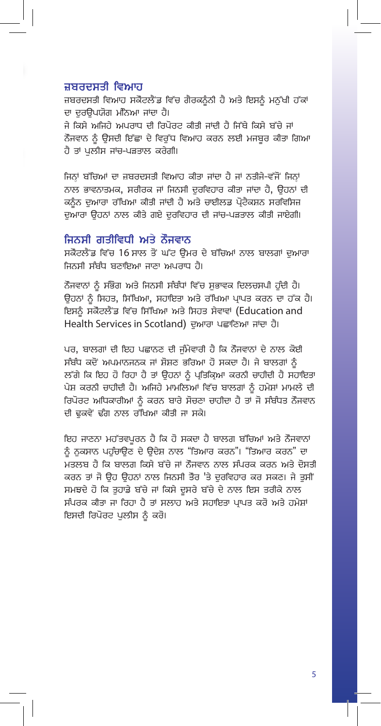#### ਜ਼ਬਰਦਸਤੀ ਵਿਆਹ

ਜ਼ਬਰਦਸਤੀ ਵਿਆਹ ਸਕੋਟਲੈਂਡ ਵਿੱਚ ਗੈਰਕਨੰਨੀ ਹੈ ਅਤੇ ਇਸਨੂੰ ਮਨੱਖੀ ਹੱਕਾਂ ਦਾ ਦਰੳਪਯੋਗ ਮੰਨਿਆ ਜਾਂਦਾ ਹੈ। ਜੇ ਕਿਸੇ ਅਜਿਹੇ ਅਪਰਾਧ ਦੀ ਰਿਪੋਰਟ ਕੀਤੀ ਜਾਂਦੀ ਹੈ ਜਿੱਥੇ ਕਿਸੇ ਬੱਚੇ ਜਾਂ ਨੌਜਵਾਨ ਨੂੰ ਉਸਦੀ ਇੱਛਾ ਦੇ ਵਿਰੁੱਧ ਵਿਆਹ ਕਰਨ ਲਈ ਮਜਬੂਰ ਕੀਤਾ ਗਿਆ ਹੈ ਤਾਂ ਪਲੀਸ ਜਾਂਚ-ਪੜਤਾਲ ਕਰੇਗੀ।

ਜਿਨ੍ਹਾਂ ਬੱਚਿਆਂ ਦਾ ਜ਼ਬਰਦਸਤੀ ਵਿਆਹ ਕੀਤਾ ਜਾਂਦਾ ਹੈ ਜਾਂ ਨਤੀਜੇ-ਵੱਜੋਂ ਜਿਨਾਂ ਨਾਲ ਭਾਵਨਾਤਮਕ, ਸਰੀਰਕ ਜਾਂ ਜਿਨਸੀ ਦਰਵਿਹਾਰ ਕੀਤਾ ਜਾਂਦਾ ਹੈ, ਉਹਨਾਂ ਦੀ ਕਨੰਨ ਦੁਆਰਾ ਰੱਖਿਆ ਕੀਤੀ ਜਾਂਦੀ ਹੈ ਅਤੇ ਚਾਈਲਡ ਪੋਟੈਕਸ਼ਨ ਸਰਵਿਸਿਜ਼ ਦੁਆਰਾ ਉਹਨਾਂ ਨਾਲ ਕੀਤੇ ਗਏ ਦਰਵਿਹਾਰ ਦੀ ਜਾਂਚ-ਪੜਤਾਲ ਕੀਤੀ ਜਾਏਗੀ।

#### ਜਿਨਸੀ ਗਤੀਵਿਧੀ ਅਤੇ ਨੌਜਵਾਨ

ਸਕੋਟਲੈਂਡ ਵਿੱਚ 16 ਸਾਲ ਤੋਂ ਘੱਟ ਉਮਰ ਦੇ ਬੱਚਿਆਂ ਨਾਲ ਬਾਲਗਾਂ ਦੁਆਰਾ ਜਿਨਸੀ ਸੰਬੰਧ ਬਣਾਇਆ ਜਾਣਾ ਅਪਰਾਧ ਹੈ।

ਨੌਜਵਾਨਾਂ ਨੰ ਸੰਭੋਗ ਅਤੇ ਜਿਨਸੀ ਸੰਬੰਧਾਂ ਵਿੱਚ ਸਭਾਵਕ ਦਿਲਚਸਪੀ ਹੰਦੀ ਹੈ। ਉਹਨਾਂ ਨੂੰ ਸਿਹਤ, ਸਿੱਖਿਆ, ਸਹਾਇਤਾ ਅਤੇ ਰੱਖਿਆ ਪ੍ਰਾਪਤ ਕਰਨ ਦਾ ਹੱਕ ਹੈ। ਇਸਨੂੰ ਸਕੋਟਲੈਂਡ ਵਿੱਚ ਸਿੱਖਿਆ ਅਤੇ ਸਿਹਤ ਸੇਵਾਵਾਂ (Education and Health Services in Scotland) ਦੁਆਰਾ ਪਛਾਣਿਆ ਜਾਂਦਾ ਹੈ।

ਪਰ, ਬਾਲਗਾਂ ਦੀ ਇਹ ਪਛਾਨਣ ਦੀ ਜੰਮੇਵਾਰੀ ਹੈ ਕਿ ਨੌਜਵਾਨਾਂ ਦੇ ਨਾਲ ਕੋਈ ਸੰਬੰਧ ਕਦੋਂ ਅਪਮਾਨਜਨਕ ਜਾਂ ਸ਼ੋਸ਼ਣ ਭਰਿਆ ਹੋ ਸਕਦਾ ਹੈ। ਜੇ ਬਾਲਗਾਂ ਨੰ ਲੱਗੇ ਕਿ ਇਹ ਹੋ ਰਿਹਾ ਹੈ ਤਾਂ ਉਹਨਾਂ ਨੂੰ ਪ੍ਰਤਿਕ੍ਰਿਆ ਕਰਨੀ ਚਾਹੀਦੀ ਹੈ ਸਹਾਇਤਾ ਪੇਸ਼ ਕਰਨੀ ਚਾਹੀਦੀ ਹੈ। ਅਜਿਹੇ ਮਾਮਲਿਆਂ ਵਿੱਚ ਬਾਲਗਾਂ ਨੂੰ ਹਮੇਸ਼ਾਂ ਮਾਮਲੇ ਦੀ ਰਿਪੋਰਟ ਅਧਿਕਾਰੀਆਂ ਨੂੰ ਕਰਨ ਬਾਰੇ ਸੋਚਣਾ ਚਾਹੀਦਾ ਹੈ ਤਾਂ ਜੋ ਸੰਬੰਧਤ ਨੌਜਵਾਨ ਦੀ ਢਕਵੇਂ ਢੰਗ ਨਾਲ ਰੱਖਿਆ ਕੀਤੀ ਜਾ ਸਕੇ।

ਇਹ ਜਾਣਨਾ ਮਹੱਤਵਪੂਰਨ ਹੈ ਕਿ ਹੋ ਸਕਦਾ ਹੈ ਬਾਲਗ ਬੱਚਿਆਂ ਅਤੇ ਨੌਜਵਾਨਾਂ ਨੰ ਨਕਸਾਨ ਪਹੰਚਾੳਣ ਦੇ ੳਦੇਸ਼ ਨਾਲ "ਤਿਆਰ ਕਰਨ"। "ਤਿਆਰ ਕਰਨ" ਦਾ ਮਤਲਬ ਹੈ ਕਿ ਬਾਲਗ ਕਿਸੇ ਬੱਚੇ ਜਾਂ ਨੌਜਵਾਨ ਨਾਲ ਸੰਪਰਕ ਕਰਨ ਅਤੇ ਦੋਸਤੀ ਕਰਨ ਤਾਂ ਜੋ ਉਹ ਉਹਨਾਂ ਨਾਲ ਜਿਨਸੀ ਤੌਰ 'ਤੇ ਦੁਰਵਿਹਾਰ ਕਰ ਸਕਣ। ਜੇ ਤੁਸੀਂ ਸਮਝਦੇ ਹੋ ਕਿ ਤੁਹਾਡੇ ਬੱਚੇ ਜਾਂ ਕਿਸੇ ਦੂਸਰੇ ਬੱਚੇ ਦੇ ਨਾਲ ਇਸ ਤਰੀਕੇ ਨਾਲ ਸੰਪਰਕ ਕੀਤਾ ਜਾ ਰਿਹਾ ਹੈ ਤਾਂ ਸਲਾਹ ਅਤੇ ਸਹਾਇਤਾ ਪਾਪਤ ਕਰੋ ਅਤੇ ਹਮੇਸ਼ਾਂ ਇਸਦੀ ਰਿਪੋਰਟ ਪਲੀਸ ਨੂੰ ਕਰੋ।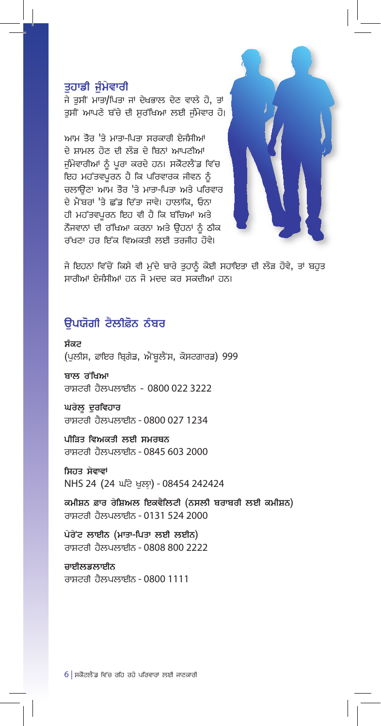#### ਤਹਾਡੀ ਜੰਮੇਵਾਰੀ

ਜੇ ਤਸੀਂ ਮਾਤਾ/ਪਿਤਾ ਜਾਂ ਦੇਖਭਾਲ ਦੇਣ ਵਾਲੇ ਹੋ, ਤਾਂ ਤਸੀਂ ਆਪਣੇ ਬੱਚੇ ਦੀ ਸਰੱਖਿਆ ਲਈ ਜੰਮੇਵਾਰ ਹੋ।

ਆਮ ਤੌਰ 'ਤੇ ਮਾਤਾ-ਪਿਤਾ ਸਰਕਾਰੀ ਏਜੰਸੀਆਂ ਦੇ ਸ਼ਾਮਲ ਹੋਣ ਦੀ ਲੋੜ ਦੇ ਬਿਨਾਂ ਆਪਣੀਆਂ ਜੰਮੇਵਾਰੀਆਂ ਨੂੰ ਪਰਾ ਕਰਦੇ ਹਨ। ਸਕੋਟਲੈਂਡ ਵਿੱਚ ਇਹ ਮਹੱਤਵਪੂਰਨ ਹੈ ਕਿ ਪਰਿਵਾਰਕ ਜੀਵਨ ਨੂੰ ਚਲਾੳਣਾ ਆਮ ਤੌਰ 'ਤੇ ਮਾਤਾ-ਪਿਤਾ ਅਤੇ ਪਰਿਵਾਰ ਦੇ ਮੈਂਬਰਾਂ 'ਤੇ ਛੱਡ ਦਿੱਤਾ ਜਾਵੇ। ਹਾਲਾਂਕਿ, ਓਨਾ ਹੀ ਮਹੱਤਵਪੂਰਨ ਇਹ ਵੀ ਹੈ ਕਿ ਬੱਚਿਆਂ ਅਤੇ ਨੌਜਵਾਨਾਂ ਦੀ ਰੱਖਿਆ ਕਰਨਾ ਅਤੇ ਉਹਨਾਂ ਨੂੰ ਠੀਕ ਰੱਖਣਾ ਹਰ ਇੱਕ ਵਿਅਕਤੀ ਲਈ ਤਰਜੀਹ ਹੋਵੇ।



ਜੇ ਇਹਨਾਂ ਵਿੱਚੋਂ ਕਿਸੇ ਵੀ ਮੁੱਦੇ ਬਾਰੇ ਤੁਹਾਨੂੰ ਕੋਈ ਸਹਾਇਤਾ ਦੀ ਲੋੜ ਹੋਵੇ, ਤਾਂ ਬਹੁਤ ਸਾਰੀਆਂ ਏਜੰਸੀਆਂ ਹਨ ਜੋ ਮਦਦ ਕਰ ਸਕਦੀਆਂ ਹਨ।

# ੳਪਯੋਗੀ ਟੈਲੀਫ਼ੋਨ ਨੰਬਰ

ਸੰਕਟ (ਪੁਲੀਸ, ਫ਼ਾਇਰ ਬ੍ਰਿਗੇਡ, ਐਂਬੂਲੈਂਸ, ਕੋਸਟਗਾਰਡ) 999

ਬਾਲ ਰੱਖਿਆ ਰਾਸ਼ਟਰੀ ਹੈਲਪਲਾਈਨ - 0800 022 3222

ਘਰੇਲੂ ਦੁਰਵਿਹਾਰ ਰਾਸ਼ਟਰੀ ਹੈਲਪਲਾਈਨ - 0800 027 1234

ਪੀੜਿਤ ਵਿਅਕਤੀ ਲਈ ਸਮਰਥਨ ਰਾਸ਼ਟਰੀ ਹੈਲਪਲਾਈਨ - 0845 603 2000

ਸਿਹਤ ਸੇਵਾਵਾਂ NHS 24 (24 ਪਟੋ ਖਲਾ) - 08454 242424

ਕਮੀਸ਼ਨ ਫ਼ਾਰ ਰੇਸ਼ਿਅਲ ਇਕਵੈਲਿਟੀ (ਨਸਲੀ ਬਰਾਬਰੀ ਲਈ ਕਮੀਸ਼ਨ) ਰਾਸ਼ਟਰੀ ਹੈਲਪਲਾਈਨ - 0131 524 2000

ਪੇਰੇ'ਟ ਲਾਈਨ (ਮਾਤਾ-ਪਿਤਾ ਲਈ ਲਈਨ) ਰਾਸ਼ਟਰੀ ਹੈਲਪਲਾਈਨ - 0808 800 2222

ਚਾਈਲਡਲਾਈਨ ਰਾਸ਼ਟਰੀ ਹੈਲਪਲਾਈਨ - 0800 1111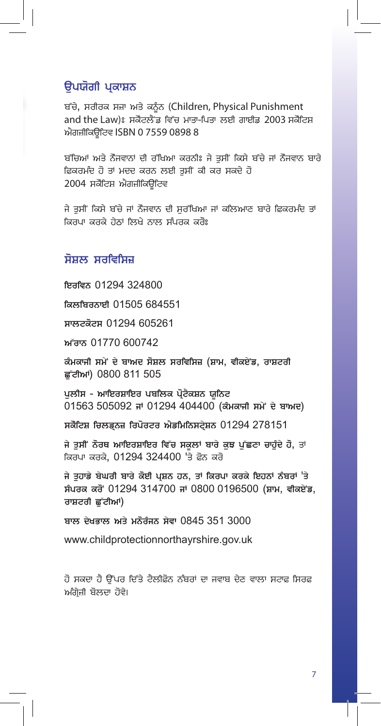## ੳਪਯੋਗੀ ਪਕਾਸ਼ਨ

ਬੱਚੇ, ਸਰੀਰਕ ਸਜ਼ਾ ਅਤੇ ਕਨੰਨ (Children, Physical Punishment and the Law)ਃ ਸਕੋਟਲੈਂਡ ਵਿੱਚ ਮਾਤਾ-ਪਿਤਾ ਲਈ ਗਾਈਡ 2003 ਸਕੋਟਿਸ਼ ਐਗਜ਼ੀਕਿਉਟਿਵ ISBN 0 7559 0898 8

ਬੱਚਿਆਂ ਅਤੇ ਨੌਜਵਾਨਾਂ ਦੀ ਰੱਖਿਆ ਕਰਨੀਃ ਜੇ ਤਸੀਂ ਕਿਸੇ ਬੱਚੇ ਜਾਂ ਨੌਜਵਾਨ ਬਾਰੇ ਫ਼ਿਕਰਮੰਦ ਹੋ ਤਾਂ ਮਦਦ ਕਰਨ ਲਈ ਤਸੀਂ ਕੀ ਕਰ ਸਕਦੇ ਹੋ 2004 ਸਕੋਟਿਸ਼ ਐਗਜ਼ੀਕਿੳਟਿਵ

ਜੇ ਤਸੀਂ ਕਿਸੇ ਬੱਚੇ ਜਾਂ ਨੌਜਵਾਨ ਦੀ ਸਰੱਖਿਆ ਜਾਂ ਕਲਿਆਣ ਬਾਰੇ ਫ਼ਿਕਰਮੰਦ ਤਾਂ ਕਿਰਪਾ ਕਰਕੇ ਹੇਠਾਂ ਲਿਖੇ ਨਾਲ ਸੰਪਰਕ ਕਰੋਃ

### ਸੋਸ਼ਲ ਸਰਵਿਸਿਜ਼

ਇਰਵਿਨ 01294 324800 ਕਿਲਬਿਰਨਾਈ 01505 684551 ਸਾਲਟਕੋਟਸ 01294 605261 ਅੱਰਾਨ 01770 600742 ਕੰਮਕਾਜੀ ਸਮੇਂ ਦੇ ਬਾਅਦ ਸੋਸ਼ਲ ਸਰਵਿਸਿਜ਼ (ਸ਼ਾਮ, ਵੀਕਏਂਡ, ਰਾਸ਼ਟਰੀ ਛੱਟੀਆਂ) 0800 811 505 ਪਲੀਸ - ਆਇਰਸ਼ਾਇਰ ਪਬਲਿਕ ਪੋਟੈਕਸ਼ਨ ਯਨਿਟ 01563 505092 ਜਾਂ 01294 404400 (ਕੰਮਕਾਜੀ ਸਮੇਂ ਦੇ ਬਾਅਦ) ਸਕੋਟਿਸ਼ ਚਿਲਡਨਜ਼ ਰਿਪੋਰਟਰ ਐਡਮਿਨਿਸਟੇਸ਼ਨ 01294 278151 ਜੇ ਤਸੀਂ ਨੋਰਥ ਆਇਰਸ਼ਾਇਰ ਵਿੱਚ ਸਕਲਾਂ ਬਾਰੇ ਕੁਝ ਪੱਛਣਾ ਚਾਹੁੰਦੇ ਹੋ, ਤਾਂ ਕਿਰਪਾ ਕਰਕੇ, 01294 324400 'ਤੇ ਫ਼ੋਨ ਕਰੋ ਜੇ ਤੁਹਾਡੇ ਬੇਘਰੀ ਬਾਰੇ ਕੋਈ ਪ੍ਰਸ਼ਨ ਹਨ, ਤਾਂ ਕਿਰਪਾ ਕਰਕੇ ਇਹਨਾਂ ਨੰਬਰਾਂ 'ਤੇ ਸੰਪਰਕ ਕਰੋਂ 01294 314700 ਜਾਂ 0800 0196500 (ਸ਼ਾਮ, ਵੀਕਏਂਡ, ਰਾਸ਼ਟਰੀ ਛੱਟੀਆਂ) ਬਾਲ ਦੇਖਭਾਲ ਅਤੇ ਮਨੋਰੰਜਨ ਸੇਵਾ 0845 351 3000 www.childprotectionnorthayrshire.gov.uk

ਹੋ ਸਕਦਾ ਹੈ ਉੱਪਰ ਦਿੱਤੇ ਟੈਲੀਫ਼ੋਨ ਨੰਬਰਾਂ ਦਾ ਜਵਾਬ ਦੇਣ ਵਾਲਾ ਸਟਾਫ਼ ਸਿਰਫ਼ ਅੰਗੇਜ਼ੀ ਬੋਲਦਾ ਹੋਵੇ।